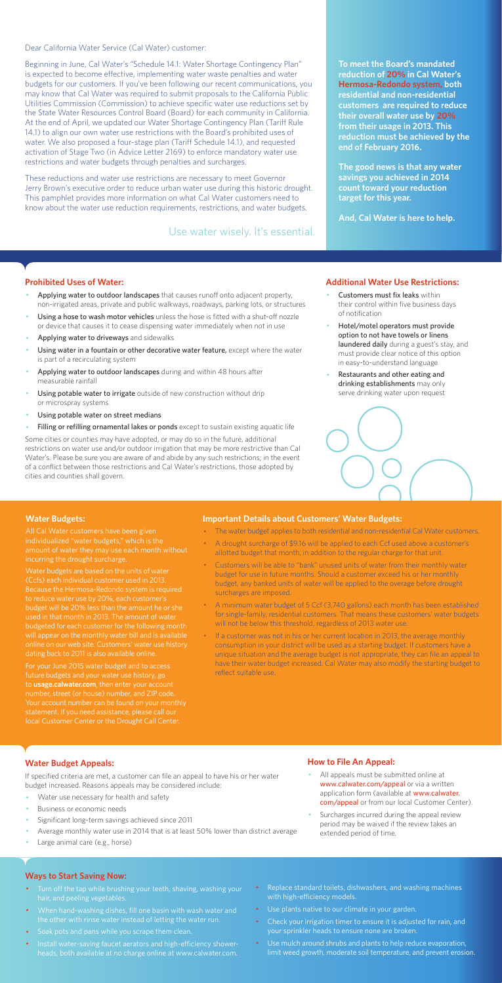Dear California Water Service (Cal Water) customer:

Beginning in June, Cal Water's "Schedule 14.1: Water Shortage Contingency Plan" is expected to become effective, implementing water waste penalties and water budgets for our customers. If you've been following our recent communications, you may know that Cal Water was required to submit proposals to the California Public Utilities Commission (Commission) to achieve specific water use reductions set by the State Water Resources Control Board (Board) for each community in California. At the end of April, we updated our Water Shortage Contingency Plan (Tariff Rule 14.1) to align our own water use restrictions with the Board's prohibited uses of water. We also proposed a four-stage plan (Tariff Schedule 14.1), and requested activation of Stage Two (in Advice Letter 2169) to enforce mandatory water use restrictions and water budgets through penalties and surcharges.

These reductions and water use restrictions are necessary to meet Governor Jerry Brown's executive order to reduce urban water use during this historic drought. This pamphlet provides more information on what Cal Water customers need to know about the water use reduction requirements, restrictions, and water budgets.

#### **Prohibited Uses of Water:**

- Applying water to outdoor landscapes that causes runoff onto adjacent property, non-irrigated areas, private and public walkways, roadways, parking lots, or structures
- Using a hose to wash motor vehicles unless the hose is fitted with a shut-off nozzle or device that causes it to cease dispensing water immediately when not in use
- Applying water to driveways and sidewalks
- Using water in a fountain or other decorative water feature, except where the water is part of a recirculating system
- Applying water to outdoor landscapes during and within 48 hours after measurable rainfall
- Using potable water to irrigate outside of new construction without drip or microspray systems
- Using potable water on street medians
- Filling or refilling ornamental lakes or ponds except to sustain existing aquatic life
- Customers must fix leaks within their control within five business days of notification
- Hotel/motel operators must provide option to not have towels or linens laundered daily during a guest's stay, and must provide clear notice of this option in easy-to-understand language
- Restaurants and other eating and drinking establishments may only serve drinking water upon request



- All appeals must be submitted online at www.calwater.com/appeal or via a written application form (available at www.calwater. com/appeal or from our local Customer Center).
- · Surcharges incurred during the appeal review period may be waived if the review takes an extended period of time.

Some cities or counties may have adopted, or may do so in the future, additional restrictions on water use and/or outdoor irrigation that may be more restrictive than Cal Water's. Please be sure you are aware of and abide by any such restrictions; in the event of a conflict between those restrictions and Cal Water's restrictions, those adopted by cities and counties shall govern.

- Turn off the tap while brushing your teeth, shaving, washing your hair, and peeling vegetables.
- · When hand-washing dishes, fill one basin with wash water and the other with rinse water instead of letting the water run.
- · Soak pots and pans while you scrape them clean.
- · Install water-saving faucet aerators and high-efficiency showerheads, both available at no charge online at www.calwater.com.
- Replace standard toilets, dishwashers, and washing machines with high-efficiency models.
- · Use plants native to our climate in your garden.
- Check your irrigation timer to ensure it is adjusted for rain, and your sprinkler heads to ensure none are broken.
- · Use mulch around shrubs and plants to help reduce evaporation, limit weed growth, moderate soil temperature, and prevent erosion.

**To meet the Board's mandated reduction of 20% in Cal Water's Hermosa-Redondo system, both residential and non-residential customers are required to reduce their overall water use by 20% from their usage in 2013. This reduction must be achieved by the end of February 2016.** 

**The good news is that any water savings you achieved in 2014 count toward your reduction target for this year.** 

**And, Cal Water is here to help.** 

#### **Additional Water Use Restrictions:**

### **Water Budget Appeals:**

If specified criteria are met, a customer can file an appeal to have his or her water budget increased. Reasons appeals may be considered include:

- Water use necessary for health and safety
- Business or economic needs
- Significant long-term savings achieved since 2011
- Average monthly water use in 2014 that is at least 50% lower than district average
- Large animal care (e.g., horse)

## **How to File An Appeal:**

#### **Ways to Start Saving Now:**

Use water wisely. It's essential.

#### **Water Budgets:**

individualized "water budgets," which is the incurring the drought surcharge.

Water budgets are based on the units of water (Ccfs) each individual customer used in 2013. Because the Hermosa-Redondo system is required to reduce water use by 20%, each customer's budget will be 20% less than the amount he or she used in that month in 2013. The amount of water budgeted for each customer for the following month will appear on the monthly water bill and is available dating back to 2011 is also available online.

For your June 2015 water budget and to access future budgets and your water use history, go to **usage.calwater.com**, then enter your account number, street (or house) number, and ZIP code. local Customer Center or the Drought Call Center.

#### **Important Details about Customers' Water Budgets:**

- · The water budget applies to both residential and non-residential Cal Water customers.
- A drought surcharge of \$9.16 will be applied to each Ccf used above a customer's allotted budget that month, in addition to the regular charge for that unit.
- · Customers will be able to "bank" unused units of water from their monthly water budget for use in future months. Should a customer exceed his or her monthly budget, any banked units of water will be applied to the overage before drought surcharges are imposed.
- · A minimum water budget of 5 Ccf (3,740 gallons) each month has been established for single-family, residential customers. That means these customers' water budgets will not be below this threshold, regardless of 2013 water use.

· If a customer was not in his or her current location in 2013, the average monthly consumption in your district will be used as a starting budget. If customers have a unique situation and the average budget is not appropriate, they can file an appeal to have their water budget increased. Cal Water may also modify the starting budget to reflect suitable use.